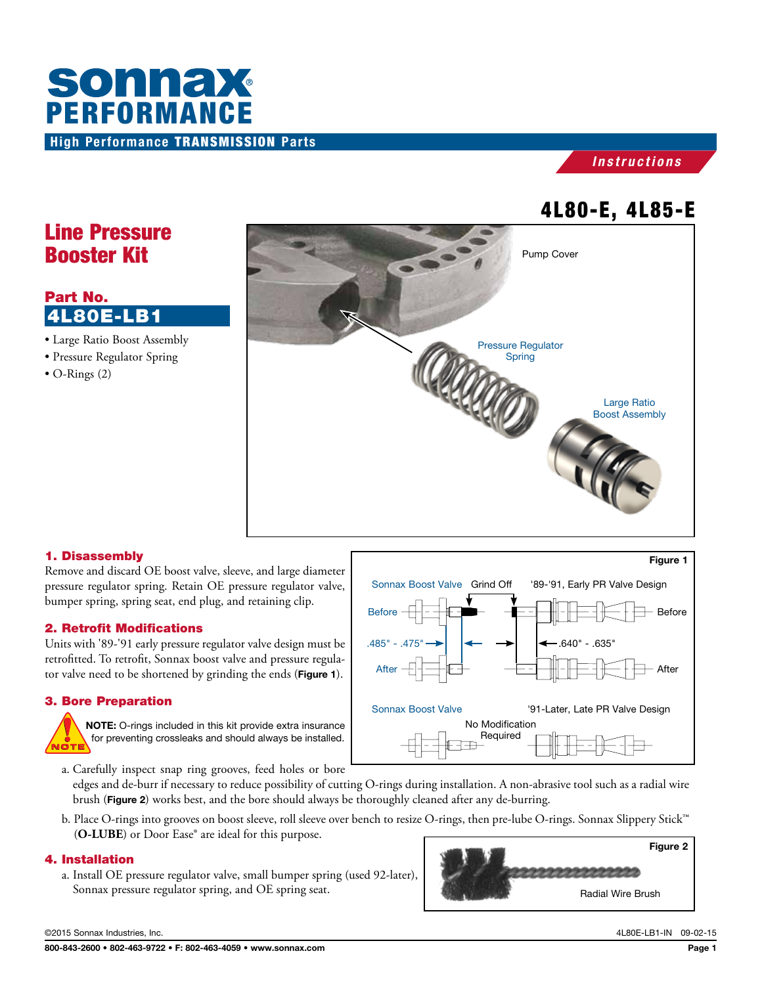



# 4L80-E, 4L85-E

# Line Pressure Booster Kit

# Part No. 4L80E-LB1

- Large Ratio Boost Assembly
- Pressure Regulator Spring
- O-Rings (2)



### 1. Disassembly

Remove and discard OE boost valve, sleeve, and large diameter pressure regulator spring. Retain OE pressure regulator valve, bumper spring, spring seat, end plug, and retaining clip.

#### 2. Retrofit Modifications

Units with '89-'91 early pressure regulator valve design must be retrofitted. To retrofit, Sonnax boost valve and pressure regulator valve need to be shortened by grinding the ends (Figure 1).

### 3. Bore Preparation



NOTE: O-rings included in this kit provide extra insurance for preventing crossleaks and should always be installed.



a. Carefully inspect snap ring grooves, feed holes or bore

edges and de-burr if necessary to reduce possibility of cutting O-rings during installation. A non-abrasive tool such as a radial wire brush (Figure 2) works best, and the bore should always be thoroughly cleaned after any de-burring.

b. Place O-rings into grooves on boost sleeve, roll sleeve over bench to resize O-rings, then pre-lube O-rings. Sonnax Slippery Stick™ (**O-LUBE**) or Door Ease® are ideal for this purpose.

#### 4. Installation

a. Install OE pressure regulator valve, small bumper spring (used 92-later), Sonnax pressure regulator spring, and OE spring seat.



©2015 Sonnax Industries, Inc. 4L80E-LB1-IN 09-02-15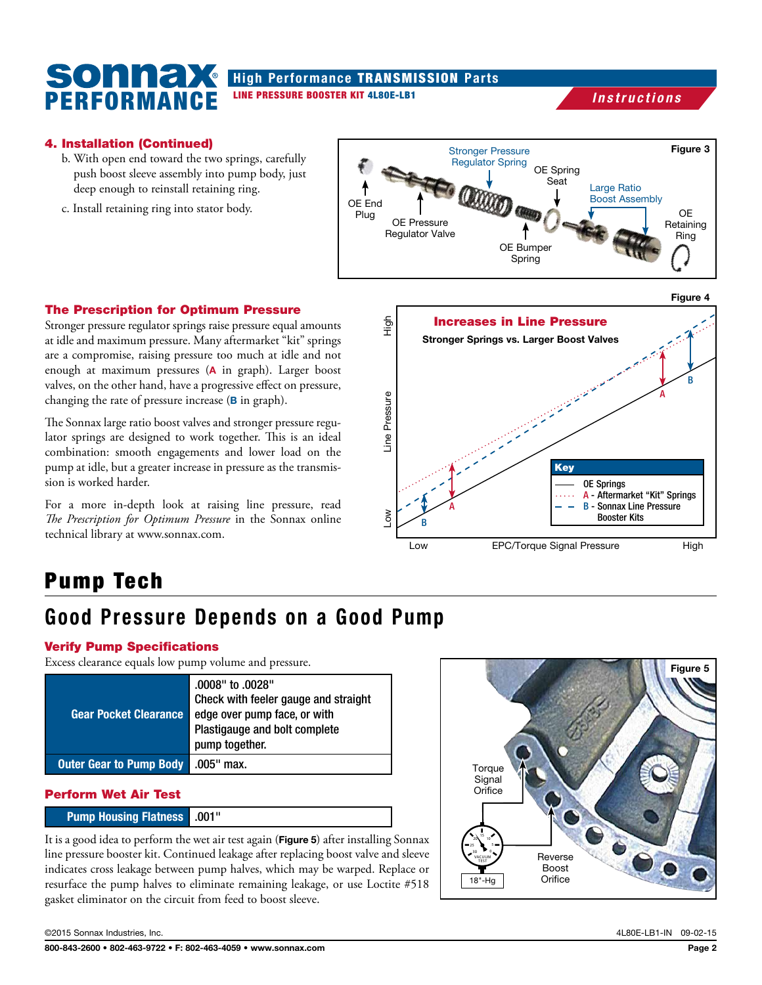## High Performance TRANSMISSION Parts LINE PRESSURE BOOSTER KIT 4L80E-LB1

# *Instructions*

### 4. Installation (Continued)

PERFORMANCE

SONN<del>a</del>

- b. With open end toward the two springs, carefully push boost sleeve assembly into pump body, just deep enough to reinstall retaining ring.
- c. Install retaining ring into stator body.



#### The Prescription for Optimum Pressure

Stronger pressure regulator springs raise pressure equal amounts at idle and maximum pressure. Many aftermarket "kit" springs are a compromise, raising pressure too much at idle and not enough at maximum pressures (A in graph). Larger boost valves, on the other hand, have a progressive effect on pressure, changing the rate of pressure increase (**B** in graph).

The Sonnax large ratio boost valves and stronger pressure regulator springs are designed to work together. This is an ideal combination: smooth engagements and lower load on the pump at idle, but a greater increase in pressure as the transmission is worked harder.

For a more in-depth look at raising line pressure, read *The Prescription for Optimum Pressure* in the Sonnax online technical library at www.sonnax.com.



# Pump Tech

# Good Pressure Depends on a Good Pump

#### Verify Pump Specifications

Excess clearance equals low pump volume and pressure.

| <b>Gear Pocket Clearance</b>                | "0008" to .0028.<br>Check with feeler gauge and straight<br>edge over pump face, or with<br>Plastigauge and bolt complete<br>pump together. |
|---------------------------------------------|---------------------------------------------------------------------------------------------------------------------------------------------|
| <b>Outer Gear to Pump Body   .005" max.</b> |                                                                                                                                             |

## Perform Wet Air Test

### Pump Housing Flatness .001"

It is a good idea to perform the wet air test again (Figure 5) after installing Sonnax line pressure booster kit. Continued leakage after replacing boost valve and sleeve indicates cross leakage between pump halves, which may be warped. Replace or resurface the pump halves to eliminate remaining leakage, or use Loctite #518 gasket eliminator on the circuit from feed to boost sleeve.



©2015 Sonnax Industries, Inc. 4L80E-LB1-IN 09-02-15

Figure 5